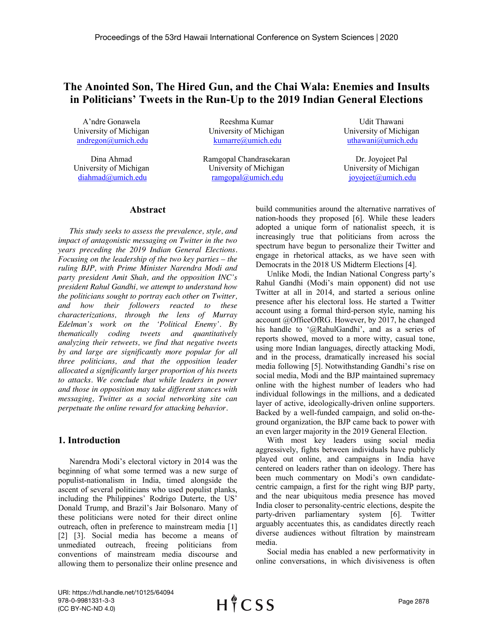# **The Anointed Son, The Hired Gun, and the Chai Wala: Enemies and Insults in Politicians' Tweets in the Run-Up to the 2019 Indian General Elections**

A'ndre Gonawela University of Michigan andregon@umich.edu

Dina Ahmad University of Michigan diahmad@umich.edu

Reeshma Kumar University of Michigan kumarre@umich.edu

Ramgopal Chandrasekaran University of Michigan ramgopal@umich.edu

Udit Thawani University of Michigan uthawani@umich.edu

Dr. Joyojeet Pal University of Michigan joyojeet@umich.edu

# **Abstract**

*This study seeks to assess the prevalence, style, and impact of antagonistic messaging on Twitter in the two years preceding the 2019 Indian General Elections. Focusing on the leadership of the two key parties – the ruling BJP, with Prime Minister Narendra Modi and party president Amit Shah, and the opposition INC's president Rahul Gandhi, we attempt to understand how the politicians sought to portray each other on Twitter, and how their followers reacted to these characterizations, through the lens of Murray Edelman's work on the 'Political Enemy'. By thematically coding tweets and quantitatively analyzing their retweets, we find that negative tweets by and large are significantly more popular for all three politicians, and that the opposition leader allocated a significantly larger proportion of his tweets to attacks. We conclude that while leaders in power and those in opposition may take different stances with messaging, Twitter as a social networking site can perpetuate the online reward for attacking behavior.*

## **1. Introduction**

Narendra Modi's electoral victory in 2014 was the beginning of what some termed was a new surge of populist-nationalism in India, timed alongside the ascent of several politicians who used populist planks, including the Philippines' Rodrigo Duterte, the US' Donald Trump, and Brazil's Jair Bolsonaro. Many of these politicians were noted for their direct online outreach, often in preference to mainstream media [1] [2] [3]. Social media has become a means of unmediated outreach, freeing politicians from conventions of mainstream media discourse and allowing them to personalize their online presence and

build communities around the alternative narratives of nation-hoods they proposed [6]. While these leaders adopted a unique form of nationalist speech, it is increasingly true that politicians from across the spectrum have begun to personalize their Twitter and engage in rhetorical attacks, as we have seen with Democrats in the 2018 US Midterm Elections [4].

Unlike Modi, the Indian National Congress party's Rahul Gandhi (Modi's main opponent) did not use Twitter at all in 2014, and started a serious online presence after his electoral loss. He started a Twitter account using a formal third-person style, naming his account @OfficeOfRG. However, by 2017, he changed his handle to '@RahulGandhi', and as a series of reports showed, moved to a more witty, casual tone, using more Indian languages, directly attacking Modi, and in the process, dramatically increased his social media following [5]. Notwithstanding Gandhi's rise on social media, Modi and the BJP maintained supremacy online with the highest number of leaders who had individual followings in the millions, and a dedicated layer of active, ideologically-driven online supporters. Backed by a well-funded campaign, and solid on-theground organization, the BJP came back to power with an even larger majority in the 2019 General Election.

With most key leaders using social media aggressively, fights between individuals have publicly played out online, and campaigns in India have centered on leaders rather than on ideology. There has been much commentary on Modi's own candidatecentric campaign, a first for the right wing BJP party, and the near ubiquitous media presence has moved India closer to personality-centric elections, despite the party-driven parliamentary system [6]. Twitter arguably accentuates this, as candidates directly reach diverse audiences without filtration by mainstream media.

Social media has enabled a new performativity in online conversations, in which divisiveness is often

URI: https://hdl.handle.net/10125/64094 978-0-9981331-3-3 (CC BY-NC-ND 4.0)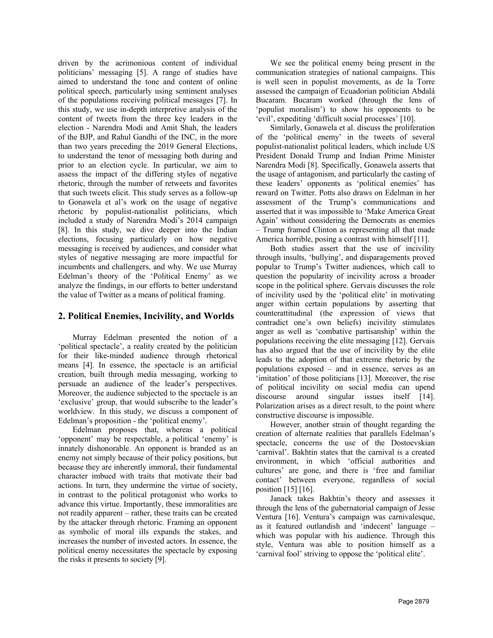driven by the acrimonious content of individual politicians' messaging [5]. A range of studies have aimed to understand the tone and content of online political speech, particularly using sentiment analyses of the populations receiving political messages [7]. In this study, we use in-depth interpretive analysis of the content of tweets from the three key leaders in the election - Narendra Modi and Amit Shah, the leaders of the BJP, and Rahul Gandhi of the INC, in the more than two years preceding the 2019 General Elections, to understand the tenor of messaging both during and prior to an election cycle. In particular, we aim to assess the impact of the differing styles of negative rhetoric, through the number of retweets and favorites that such tweets elicit. This study serves as a follow-up to Gonawela et al's work on the usage of negative rhetoric by populist-nationalist politicians, which included a study of Narendra Modi's 2014 campaign [8]. In this study, we dive deeper into the Indian elections, focusing particularly on how negative messaging is received by audiences, and consider what styles of negative messaging are more impactful for incumbents and challengers, and why. We use Murray Edelman's theory of the 'Political Enemy' as we analyze the findings, in our efforts to better understand the value of Twitter as a means of political framing.

# **2. Political Enemies, Incivility, and Worlds**

Murray Edelman presented the notion of a 'political spectacle', a reality created by the politician for their like-minded audience through rhetorical means [4]. In essence, the spectacle is an artificial creation, built through media messaging, working to persuade an audience of the leader's perspectives. Moreover, the audience subjected to the spectacle is an 'exclusive' group, that would subscribe to the leader's worldview. In this study, we discuss a component of Edelman's proposition - the 'political enemy'.

Edelman proposes that, whereas a political 'opponent' may be respectable, a political 'enemy' is innately dishonorable. An opponent is branded as an enemy not simply because of their policy positions, but because they are inherently immoral, their fundamental character imbued with traits that motivate their bad actions. In turn, they undermine the virtue of society, in contrast to the political protagonist who works to advance this virtue. Importantly, these immoralities are not readily apparent – rather, these traits can be created by the attacker through rhetoric. Framing an opponent as symbolic of moral ills expands the stakes, and increases the number of invested actors. In essence, the political enemy necessitates the spectacle by exposing the risks it presents to society [9].

We see the political enemy being present in the communication strategies of national campaigns. This is well seen in populist movements, as de la Torre assessed the campaign of Ecuadorian politician Abdalá Bucaram. Bucaram worked (through the lens of 'populist moralism') to show his opponents to be 'evil', expediting 'difficult social processes' [10].

Similarly, Gonawela et al. discuss the proliferation of the 'political enemy' in the tweets of several populist-nationalist political leaders, which include US President Donald Trump and Indian Prime Minister Narendra Modi [8]. Specifically, Gonawela asserts that the usage of antagonism, and particularly the casting of these leaders' opponents as 'political enemies' has reward on Twitter. Potts also draws on Edelman in her assessment of the Trump's communications and asserted that it was impossible to 'Make America Great Again' without considering the Democrats as enemies – Trump framed Clinton as representing all that made America horrible, posing a contrast with himself [11].

Both studies assert that the use of incivility through insults, 'bullying', and disparagements proved popular to Trump's Twitter audiences, which call to question the popularity of incivility across a broader scope in the political sphere. Gervais discusses the role of incivility used by the 'political elite' in motivating anger within certain populations by asserting that counterattitudinal (the expression of views that contradict one's own beliefs) incivility stimulates anger as well as 'combative partisanship' within the populations receiving the elite messaging [12]. Gervais has also argued that the use of incivility by the elite leads to the adoption of that extreme rhetoric by the populations exposed – and in essence, serves as an 'imitation' of those politicians [13]. Moreover, the rise of political incivility on social media can upend discourse around singular issues itself [14]. Polarization arises as a direct result, to the point where constructive discourse is impossible.

However, another strain of thought regarding the creation of alternate realities that parallels Edelman's spectacle, concerns the use of the Dostoevskian 'carnival'. Bakhtin states that the carnival is a created environment, in which 'official authorities and cultures' are gone, and there is 'free and familiar contact' between everyone, regardless of social position  $[15]$   $[16]$ .

Janack takes Bakhtin's theory and assesses it through the lens of the gubernatorial campaign of Jesse Ventura [16]. Ventura's campaign was carnivalesque, as it featured outlandish and 'indecent' language – which was popular with his audience. Through this style, Ventura was able to position himself as a 'carnival fool' striving to oppose the 'political elite'.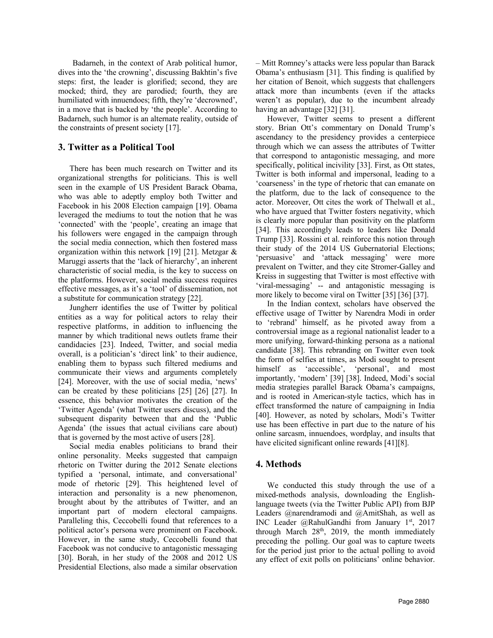Badarneh, in the context of Arab political humor, dives into the 'the crowning', discussing Bakhtin's five steps: first, the leader is glorified; second, they are mocked; third, they are parodied; fourth, they are humiliated with innuendoes; fifth, they're 'decrowned', in a move that is backed by 'the people'. According to Badarneh, such humor is an alternate reality, outside of the constraints of present society [17].

# **3. Twitter as a Political Tool**

There has been much research on Twitter and its organizational strengths for politicians. This is well seen in the example of US President Barack Obama, who was able to adeptly employ both Twitter and Facebook in his 2008 Election campaign [19]. Obama leveraged the mediums to tout the notion that he was 'connected' with the 'people', creating an image that his followers were engaged in the campaign through the social media connection, which then fostered mass organization within this network [19] [21]. Metzgar & Maruggi asserts that the 'lack of hierarchy', an inherent characteristic of social media, is the key to success on the platforms. However, social media success requires effective messages, as it's a 'tool' of dissemination, not a substitute for communication strategy [22].

Jungherr identifies the use of Twitter by political entities as a way for political actors to relay their respective platforms, in addition to influencing the manner by which traditional news outlets frame their candidacies [23]. Indeed, Twitter, and social media overall, is a politician's 'direct link' to their audience, enabling them to bypass such filtered mediums and communicate their views and arguments completely [24]. Moreover, with the use of social media, 'news' can be created by these politicians [25] [26] [27]. In essence, this behavior motivates the creation of the 'Twitter Agenda' (what Twitter users discuss), and the subsequent disparity between that and the 'Public Agenda' (the issues that actual civilians care about) that is governed by the most active of users [28].

Social media enables politicians to brand their online personality. Meeks suggested that campaign rhetoric on Twitter during the 2012 Senate elections typified a 'personal, intimate, and conversational' mode of rhetoric [29]. This heightened level of interaction and personality is a new phenomenon, brought about by the attributes of Twitter, and an important part of modern electoral campaigns. Paralleling this, Ceccobelli found that references to a political actor's persona were prominent on Facebook. However, in the same study, Ceccobelli found that Facebook was not conducive to antagonistic messaging [30]. Borah, in her study of the 2008 and 2012 US Presidential Elections, also made a similar observation

– Mitt Romney's attacks were less popular than Barack Obama's enthusiasm [31]. This finding is qualified by her citation of Benoit, which suggests that challengers attack more than incumbents (even if the attacks weren't as popular), due to the incumbent already having an advantage [32] [31].

However, Twitter seems to present a different story. Brian Ott's commentary on Donald Trump's ascendancy to the presidency provides a centerpiece through which we can assess the attributes of Twitter that correspond to antagonistic messaging, and more specifically, political incivility [33]. First, as Ott states, Twitter is both informal and impersonal, leading to a 'coarseness' in the type of rhetoric that can emanate on the platform, due to the lack of consequence to the actor. Moreover, Ott cites the work of Thelwall et al., who have argued that Twitter fosters negativity, which is clearly more popular than positivity on the platform [34]. This accordingly leads to leaders like Donald Trump [33]. Rossini et al. reinforce this notion through their study of the 2014 US Gubernatorial Elections; 'persuasive' and 'attack messaging' were more prevalent on Twitter, and they cite Stromer-Galley and Kreiss in suggesting that Twitter is most effective with 'viral-messaging' -- and antagonistic messaging is more likely to become viral on Twitter [35] [36] [37].

In the Indian context, scholars have observed the effective usage of Twitter by Narendra Modi in order to 'rebrand' himself, as he pivoted away from a controversial image as a regional nationalist leader to a more unifying, forward-thinking persona as a national candidate [38]. This rebranding on Twitter even took the form of selfies at times, as Modi sought to present himself as 'accessible', 'personal', and most importantly, 'modern' [39] [38]. Indeed, Modi's social media strategies parallel Barack Obama's campaigns, and is rooted in American-style tactics, which has in effect transformed the nature of campaigning in India [40]. However, as noted by scholars, Modi's Twitter use has been effective in part due to the nature of his online sarcasm, innuendoes, wordplay, and insults that have elicited significant online rewards [41][8].

# **4. Methods**

We conducted this study through the use of a mixed-methods analysis, downloading the Englishlanguage tweets (via the Twitter Public API) from BJP Leaders @narendramodi and @AmitShah, as well as INC Leader @RahulGandhi from January 1st, 2017 through March  $28<sup>th</sup>$ , 2019, the month immediately preceding the polling. Our goal was to capture tweets for the period just prior to the actual polling to avoid any effect of exit polls on politicians' online behavior.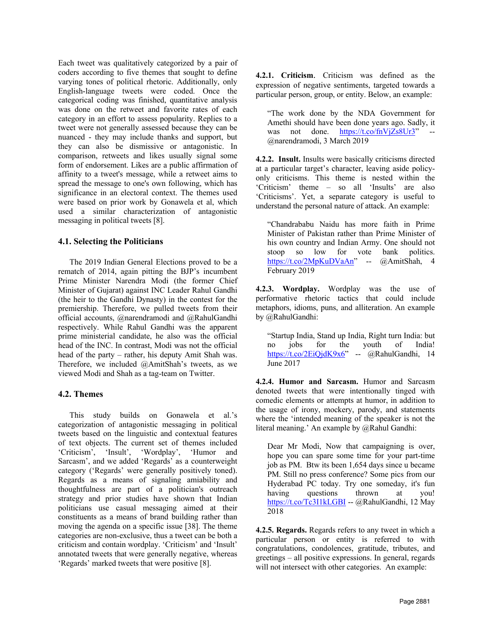Each tweet was qualitatively categorized by a pair of coders according to five themes that sought to define varying tones of political rhetoric. Additionally, only English-language tweets were coded. Once the categorical coding was finished, quantitative analysis was done on the retweet and favorite rates of each category in an effort to assess popularity. Replies to a tweet were not generally assessed because they can be nuanced - they may include thanks and support, but they can also be dismissive or antagonistic. In comparison, retweets and likes usually signal some form of endorsement. Likes are a public affirmation of affinity to a tweet's message, while a retweet aims to spread the message to one's own following, which has significance in an electoral context. The themes used were based on prior work by Gonawela et al, which used a similar characterization of antagonistic messaging in political tweets [8].

## **4.1. Selecting the Politicians**

The 2019 Indian General Elections proved to be a rematch of 2014, again pitting the BJP's incumbent Prime Minister Narendra Modi (the former Chief Minister of Gujarat) against INC Leader Rahul Gandhi (the heir to the Gandhi Dynasty) in the contest for the premiership. Therefore, we pulled tweets from their official accounts, @narendramodi and @RahulGandhi respectively. While Rahul Gandhi was the apparent prime ministerial candidate, he also was the official head of the INC. In contrast, Modi was not the official head of the party – rather, his deputy Amit Shah was. Therefore, we included @AmitShah's tweets, as we viewed Modi and Shah as a tag-team on Twitter.

## **4.2. Themes**

This study builds on Gonawela et al.'s categorization of antagonistic messaging in political tweets based on the linguistic and contextual features of text objects. The current set of themes included 'Criticism', 'Insult', 'Wordplay', 'Humor and Sarcasm', and we added 'Regards' as a counterweight category ('Regards' were generally positively toned). Regards as a means of signaling amiability and thoughtfulness are part of a politician's outreach strategy and prior studies have shown that Indian politicians use casual messaging aimed at their constituents as a means of brand building rather than moving the agenda on a specific issue [38]. The theme categories are non-exclusive, thus a tweet can be both a criticism and contain wordplay. 'Criticism' and 'Insult' annotated tweets that were generally negative, whereas 'Regards' marked tweets that were positive [8].

**4.2.1. Criticism**. Criticism was defined as the expression of negative sentiments, targeted towards a particular person, group, or entity. Below, an example:

"The work done by the NDA Government for Amethi should have been done years ago. Sadly, it was not done. https://t.co/fnVjZs8Ur3" @narendramodi, 3 March 2019

**4.2.2. Insult.** Insults were basically criticisms directed at a particular target's character, leaving aside policyonly criticisms. This theme is nested within the 'Criticism' theme – so all 'Insults' are also 'Criticisms'. Yet, a separate category is useful to understand the personal nature of attack. An example:

"Chandrababu Naidu has more faith in Prime Minister of Pakistan rather than Prime Minister of his own country and Indian Army. One should not stoop so low for vote bank politics. https://t.co/2MpKuDVaAn" -- @AmitShah, 4 February 2019

**4.2.3. Wordplay.** Wordplay was the use of performative rhetoric tactics that could include metaphors, idioms, puns, and alliteration. An example by @RahulGandhi:

"Startup India, Stand up India, Right turn India: but no jobs for the youth of India! https://t.co/2EiQjdK9x6" -- @RahulGandhi, 14 June 2017

**4.2.4. Humor and Sarcasm.** Humor and Sarcasm denoted tweets that were intentionally tinged with comedic elements or attempts at humor, in addition to the usage of irony, mockery, parody, and statements where the 'intended meaning of the speaker is not the literal meaning.' An example by @Rahul Gandhi:

Dear Mr Modi, Now that campaigning is over, hope you can spare some time for your part-time job as PM. Btw its been 1,654 days since u became PM. Still no press conference? Some pics from our Hyderabad PC today. Try one someday, it's fun having questions thrown at you! https://t.co/Tc3I1kLGBI -- @RahulGandhi, 12 May 2018

**4.2.5. Regards.** Regards refers to any tweet in which a particular person or entity is referred to with congratulations, condolences, gratitude, tributes, and greetings – all positive expressions. In general, regards will not intersect with other categories. An example: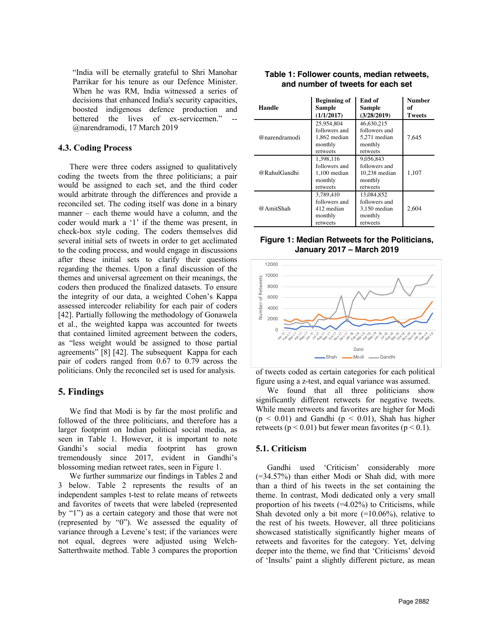"India will be eternally grateful to Shri Manohar Parrikar for his tenure as our Defence Minister. When he was RM, India witnessed a series of decisions that enhanced India's security capacities, boosted indigenous defence production and bettered the lives of ex-servicemen." @narendramodi, 17 March 2019

#### **4.3. Coding Process**

There were three coders assigned to qualitatively coding the tweets from the three politicians; a pair would be assigned to each set, and the third coder would arbitrate through the differences and provide a reconciled set. The coding itself was done in a binary manner – each theme would have a column, and the coder would mark a '1' if the theme was present, in check-box style coding. The coders themselves did several initial sets of tweets in order to get acclimated to the coding process, and would engage in discussions after these initial sets to clarify their questions regarding the themes. Upon a final discussion of the themes and universal agreement on their meanings, the coders then produced the finalized datasets. To ensure the integrity of our data, a weighted Cohen's Kappa assessed intercoder reliability for each pair of coders [42]. Partially following the methodology of Gonawela et al., the weighted kappa was accounted for tweets that contained limited agreement between the coders, as "less weight would be assigned to those partial agreements" [8] [42]. The subsequent Kappa for each pair of coders ranged from 0.67 to 0.79 across the politicians. Only the reconciled set is used for analysis.

## **5. Findings**

We find that Modi is by far the most prolific and followed of the three politicians, and therefore has a larger footprint on Indian political social media, as seen in Table 1. However, it is important to note Gandhi's social media footprint has grown tremendously since 2017, evident in Gandhi's blossoming median retweet rates, seen in Figure 1.

We further summarize our findings in Tables 2 and 3 below. Table 2 represents the results of an independent samples t-test to relate means of retweets and favorites of tweets that were labeled (represented by "1") as a certain category and those that were not (represented by "0"). We assessed the equality of variance through a Levene's test; if the variances were not equal, degrees were adjusted using Welch-Satterthwaite method. Table 3 compares the proportion

| Handle        | <b>Beginning of</b><br>Sample<br>(1/1/2017)                        | End of<br><b>Sample</b><br>(3/28/2019)                               | <b>Number</b><br>оf<br>Tweets |
|---------------|--------------------------------------------------------------------|----------------------------------------------------------------------|-------------------------------|
| @narendramodi | 25,954,804<br>followers and<br>1,862 median<br>monthly<br>retweets | 46,630,215<br>followers and<br>5,271 median<br>monthly<br>retweets   | 7,645                         |
| @RahulGandhi  | 1,398,116<br>followers and<br>1,100 median<br>monthly<br>retweets  | 9,056,843<br>followers and<br>$10,238$ median<br>monthly<br>retweets | 1,107                         |
| @AmitShah     | 3,789,410<br>followers and<br>412 median<br>monthly<br>retweets    | 13,084,852<br>followers and<br>3,150 median<br>monthly<br>retweets   | 2.604                         |

#### **Table 1: Follower counts, median retweets, and number of tweets for each set**

**Figure 1: Median Retweets for the Politicians, January 2017 – March 2019**



of tweets coded as certain categories for each political figure using a z-test, and equal variance was assumed.

We found that all three politicians show significantly different retweets for negative tweets. While mean retweets and favorites are higher for Modi  $(p < 0.01)$  and Gandhi  $(p < 0.01)$ , Shah has higher retweets ( $p < 0.01$ ) but fewer mean favorites ( $p < 0.1$ ).

#### **5.1. Criticism**

Gandhi used 'Criticism' considerably more (=34.57%) than either Modi or Shah did, with more than a third of his tweets in the set containing the theme. In contrast, Modi dedicated only a very small proportion of his tweets  $(=4.02\%)$  to Criticisms, while Shah devoted only a bit more  $(=10.06\%)$ , relative to the rest of his tweets. However, all three politicians showcased statistically significantly higher means of retweets and favorites for the category. Yet, delving deeper into the theme, we find that 'Criticisms' devoid of 'Insults' paint a slightly different picture, as mean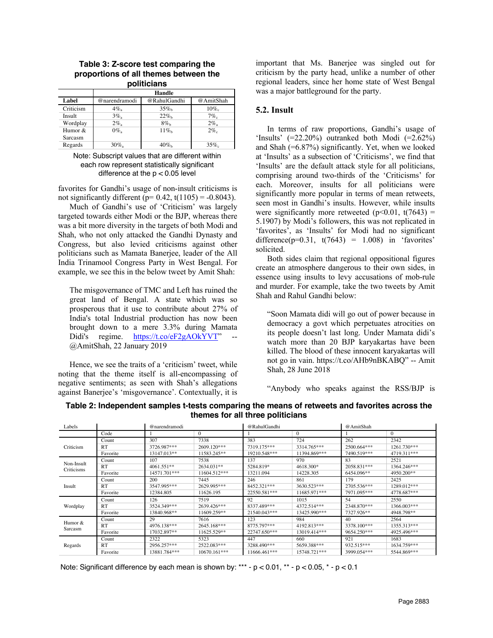|           | Handle        |              |           |  |  |  |  |
|-----------|---------------|--------------|-----------|--|--|--|--|
| Label     | @narendramodi | @RahulGandhi | @AmitShah |  |  |  |  |
| Criticism | $4\%$         | $35\%$       | $10\%$    |  |  |  |  |
| Insult    | $3\%$         | $22\%$       | $7\%$     |  |  |  |  |
| Wordplay  | $2\%$         | $8\%$        | $2\%$     |  |  |  |  |
| Humor &   | $0\%$         | $11\%$       | $2\%$     |  |  |  |  |
| Sarcasm   |               |              |           |  |  |  |  |
| Regards   | $30\%$        | $40\%$       | 35%       |  |  |  |  |

#### **Table 3: Z-score test comparing the proportions of all themes between the politicians**

Note: Subscript values that are different within each row represent statistically significant difference at the  $p < 0.05$  level

favorites for Gandhi's usage of non-insult criticisms is not significantly different ( $p= 0.42$ , t(1105) = -0.8043).

Much of Gandhi's use of 'Criticism' was largely targeted towards either Modi or the BJP, whereas there was a bit more diversity in the targets of both Modi and Shah, who not only attacked the Gandhi Dynasty and Congress, but also levied criticisms against other politicians such as Mamata Banerjee, leader of the All India Trinamool Congress Party in West Bengal. For example, we see this in the below tweet by Amit Shah:

The misgovernance of TMC and Left has ruined the great land of Bengal. A state which was so prosperous that it use to contribute about 27% of India's total Industrial production has now been brought down to a mere 3.3% during Mamata Didi's regime. https://t.co/eF2gAOkYVT" @AmitShah, 22 January 2019

Hence, we see the traits of a 'criticism' tweet, while noting that the theme itself is all-encompassing of negative sentiments; as seen with Shah's allegations against Banerjee's 'misgovernance'. Contextually, it is

important that Ms. Banerjee was singled out for criticism by the party head, unlike a number of other regional leaders, since her home state of West Bengal was a major battleground for the party.

#### **5.2. Insult**

In terms of raw proportions, Gandhi's usage of 'Insults'  $(=22.20\%)$  outranked both Modi  $(=2.62\%)$ and Shah (=6.87%) significantly. Yet, when we looked at 'Insults' as a subsection of 'Criticisms', we find that 'Insults' are the default attack style for all politicians, comprising around two-thirds of the 'Criticisms' for each. Moreover, insults for all politicians were significantly more popular in terms of mean retweets, seen most in Gandhi's insults. However, while insults were significantly more retweeted  $(p<0.01, t(7643)$  = 5.1907) by Modi's followers, this was not replicated in 'favorites', as 'Insults' for Modi had no significant difference( $p=0.31$ ,  $t(7643) = 1.008$ ) in 'favorites' solicited.

Both sides claim that regional oppositional figures create an atmosphere dangerous to their own sides, in essence using insults to levy accusations of mob-rule and murder. For example, take the two tweets by Amit Shah and Rahul Gandhi below:

"Soon Mamata didi will go out of power because in democracy a govt which perpetuates atrocities on its people doesn't last long. Under Mamata didi's watch more than 20 BJP karyakartas have been killed. The blood of these innocent karyakartas will not go in vain. https://t.co/AHb9nBKABQ" -- Amit Shah, 28 June 2018

"Anybody who speaks against the RSS/BJP is

| Table 2: Independent samples t-tests comparing the means of retweets and favorites across the |  |  |  |  |  |
|-----------------------------------------------------------------------------------------------|--|--|--|--|--|
| themes for all three politicians                                                              |  |  |  |  |  |

| Labels                   |           | @narendramodi |              | @RahulGandhi |              | @AmitShah   |             |
|--------------------------|-----------|---------------|--------------|--------------|--------------|-------------|-------------|
|                          | Code      |               | $\Omega$     |              | $\Omega$     |             | $\Omega$    |
| Criticism                | Count     | 307           | 7338         | 383          | 724          | 262         | 2342        |
|                          | RT        | 3726.987***   | 2609.120***  | 7319.175***  | 3314.765***  | 2500.664*** | 1261.730*** |
|                          | Favorite  | 13147.013**   | 11583.245**  | 19210.548*** | 11394.869*** | 7490.519*** | 4719.311*** |
| Non-Insult<br>Criticisms | Count     | 107           | 7538         | 137          | 970          | 83          | 2521        |
|                          | <b>RT</b> | 4061.551**    | 2634.031**   | 5284.819*    | 4618.300*    | 2058.831*** | 1364.246*** |
|                          | Favorite  | 14571.701***  | 11604.512*** | 13211.094    | 14228.305    | 6454.096**  | 4950.200**  |
| Insult                   | Count     | 200           | 7445         | 246          | 861          | 179         | 2425        |
|                          | RT        | 3547.995***   | 2629.995***  | 8452.321***  | 3630.523***  | 2705.536*** | 1289.012*** |
|                          | Favorite  | 12384.805     | 11626.195    | 22550.581*** | 11685.971*** | 7971.095*** | 4778.687*** |
| Wordplay                 | Count     | 126           | 7519         | 92           | 1015         | 54          | 2550        |
|                          | RT        | 3524.349***   | 2639.426***  | 8337.489***  | 4372.514***  | 2348.870*** | 1366.003*** |
|                          | Favorite  | 13840.968**   | 11609.259**  | 21540.043*** | 13425.990*** | 7327.926**  | 4948.798**  |
| Humor $&$<br>Sarcasm     | Count     | 29            | 7616         | 123          | 984          | 40          | 2564        |
|                          | RT        | 4976.138***   | 2645.168***  | 8775.797***  | 4192.813***  | 3378.100*** | 1355.313*** |
|                          | Favorite  | 17032.897**   | 11625.529**  | 22747.650*** | 13019.414*** | 9654.250*** | 4925.496*** |
| Regards                  | Count     | 2322          | 5323         | 447          | 660          | 921         | 1683        |
|                          | <b>RT</b> | 2956.257***   | 2522.083***  | 3288.490***  | 5659.388***  | 932.515***  | 1634.759*** |
|                          | Favorite  | 13881.784***  | 10670.161*** | 11666.461*** | 15748.721*** | 3999.054*** | 5544.869*** |

Note: Significant difference by each mean is shown by: \*\*\* -  $p < 0.01$ , \*\* -  $p < 0.05$ , \* -  $p < 0.1$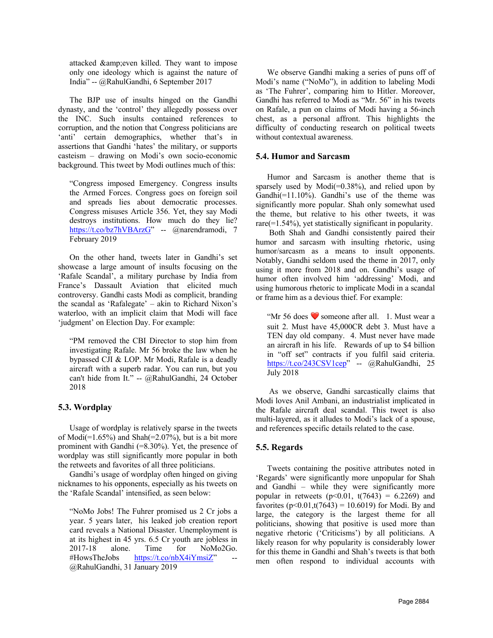attacked & even killed. They want to impose only one ideology which is against the nature of India" -- @RahulGandhi, 6 September 2017

The BJP use of insults hinged on the Gandhi dynasty, and the 'control' they allegedly possess over the INC. Such insults contained references to corruption, and the notion that Congress politicians are 'anti' certain demographics, whether that's in assertions that Gandhi 'hates' the military, or supports casteism – drawing on Modi's own socio-economic background. This tweet by Modi outlines much of this:

"Congress imposed Emergency. Congress insults the Armed Forces. Congress goes on foreign soil and spreads lies about democratic processes. Congress misuses Article 356. Yet, they say Modi destroys institutions. How much do they lie? https://t.co/bz7hVBArzG" -- @narendramodi, 7 February 2019

On the other hand, tweets later in Gandhi's set showcase a large amount of insults focusing on the 'Rafale Scandal', a military purchase by India from France's Dassault Aviation that elicited much controversy. Gandhi casts Modi as complicit, branding the scandal as 'Rafalegate' – akin to Richard Nixon's waterloo, with an implicit claim that Modi will face 'judgment' on Election Day. For example:

"PM removed the CBI Director to stop him from investigating Rafale. Mr 56 broke the law when he bypassed CJI & LOP. Mr Modi, Rafale is a deadly aircraft with a superb radar. You can run, but you can't hide from It." -- @RahulGandhi, 24 October 2018

## **5.3. Wordplay**

Usage of wordplay is relatively sparse in the tweets of  $Modi(=1.65\%)$  and  $Shah(=2.07\%)$ , but is a bit more prominent with Gandhi (=8.30%). Yet, the presence of wordplay was still significantly more popular in both the retweets and favorites of all three politicians.

Gandhi's usage of wordplay often hinged on giving nicknames to his opponents, especially as his tweets on the 'Rafale Scandal' intensified, as seen below:

"NoMo Jobs! The Fuhrer promised us 2 Cr jobs a year. 5 years later, his leaked job creation report card reveals a National Disaster. Unemployment is at its highest in 45 yrs. 6.5 Cr youth are jobless in 2017-18 alone. Time for NoMo2Go. #HowsTheJobs https://t.co/nbX4iYmsiZ" @RahulGandhi, 31 January 2019

We observe Gandhi making a series of puns off of Modi's name ("NoMo"), in addition to labeling Modi as 'The Fuhrer', comparing him to Hitler. Moreover, Gandhi has referred to Modi as "Mr. 56" in his tweets on Rafale, a pun on claims of Modi having a 56-inch chest, as a personal affront. This highlights the difficulty of conducting research on political tweets without contextual awareness.

## **5.4. Humor and Sarcasm**

Humor and Sarcasm is another theme that is sparsely used by Modi(=0.38%), and relied upon by Gandhi(=11.10%). Gandhi's use of the theme was significantly more popular. Shah only somewhat used the theme, but relative to his other tweets, it was rare(=1.54%), yet statistically significant in popularity.

Both Shah and Gandhi consistently paired their humor and sarcasm with insulting rhetoric, using humor/sarcasm as a means to insult opponents. Notably, Gandhi seldom used the theme in 2017, only using it more from 2018 and on. Gandhi's usage of humor often involved him 'addressing' Modi, and using humorous rhetoric to implicate Modi in a scandal or frame him as a devious thief. For example:

"Mr 56 does ❤ someone after all. 1. Must wear a suit 2. Must have 45,000CR debt 3. Must have a TEN day old company. 4. Must never have made an aircraft in his life. Rewards of up to \$4 billion in "off set" contracts if you fulfil said criteria. https://t.co/243CSV1cep" -- @RahulGandhi, 25 July 2018

As we observe, Gandhi sarcastically claims that Modi loves Anil Ambani, an industrialist implicated in the Rafale aircraft deal scandal. This tweet is also multi-layered, as it alludes to Modi's lack of a spouse, and references specific details related to the case.

# **5.5. Regards**

Tweets containing the positive attributes noted in 'Regards' were significantly more unpopular for Shah and Gandhi – while they were significantly more popular in retweets  $(p< 0.01, t(7643) = 6.2269)$  and favorites  $(p<0.01, t(7643) = 10.6019)$  for Modi. By and large, the category is the largest theme for all politicians, showing that positive is used more than negative rhetoric ('Criticisms') by all politicians. A likely reason for why popularity is considerably lower for this theme in Gandhi and Shah's tweets is that both men often respond to individual accounts with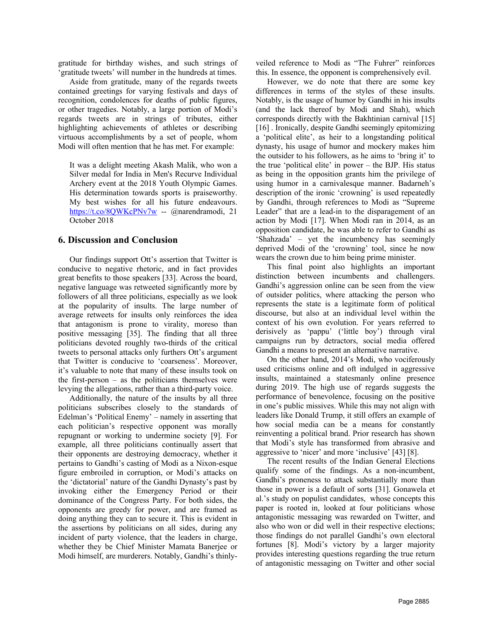gratitude for birthday wishes, and such strings of 'gratitude tweets' will number in the hundreds at times.

Aside from gratitude, many of the regards tweets contained greetings for varying festivals and days of recognition, condolences for deaths of public figures, or other tragedies. Notably, a large portion of Modi's regards tweets are in strings of tributes, either highlighting achievements of athletes or describing virtuous accomplishments by a set of people, whom Modi will often mention that he has met. For example:

It was a delight meeting Akash Malik, who won a Silver medal for India in Men's Recurve Individual Archery event at the 2018 Youth Olympic Games. His determination towards sports is praiseworthy. My best wishes for all his future endeavours. https://t.co/8QWKcPNv7w -- @narendramodi, 21 October 2018

#### **6. Discussion and Conclusion**

Our findings support Ott's assertion that Twitter is conducive to negative rhetoric, and in fact provides great benefits to those speakers [33]. Across the board, negative language was retweeted significantly more by followers of all three politicians, especially as we look at the popularity of insults. The large number of average retweets for insults only reinforces the idea that antagonism is prone to virality, moreso than positive messaging [35]. The finding that all three politicians devoted roughly two-thirds of the critical tweets to personal attacks only furthers Ott's argument that Twitter is conducive to 'coarseness'. Moreover, it's valuable to note that many of these insults took on the first-person  $-$  as the politicians themselves were levying the allegations, rather than a third-party voice.

Additionally, the nature of the insults by all three politicians subscribes closely to the standards of Edelman's 'Political Enemy' – namely in asserting that each politician's respective opponent was morally repugnant or working to undermine society [9]. For example, all three politicians continually assert that their opponents are destroying democracy, whether it pertains to Gandhi's casting of Modi as a Nixon-esque figure embroiled in corruption, or Modi's attacks on the 'dictatorial' nature of the Gandhi Dynasty's past by invoking either the Emergency Period or their dominance of the Congress Party. For both sides, the opponents are greedy for power, and are framed as doing anything they can to secure it. This is evident in the assertions by politicians on all sides, during any incident of party violence, that the leaders in charge, whether they be Chief Minister Mamata Banerjee or Modi himself, are murderers. Notably, Gandhi's thinlyveiled reference to Modi as "The Fuhrer" reinforces this. In essence, the opponent is comprehensively evil.

However, we do note that there are some key differences in terms of the styles of these insults. Notably, is the usage of humor by Gandhi in his insults (and the lack thereof by Modi and Shah), which corresponds directly with the Bakhtinian carnival [15] [16] . Ironically, despite Gandhi seemingly epitomizing a 'political elite', as heir to a longstanding political dynasty, his usage of humor and mockery makes him the outsider to his followers, as he aims to 'bring it' to the true 'political elite' in power – the BJP. His status as being in the opposition grants him the privilege of using humor in a carnivalesque manner. Badarneh's description of the ironic 'crowning' is used repeatedly by Gandhi, through references to Modi as "Supreme Leader" that are a lead-in to the disparagement of an action by Modi [17]. When Modi ran in 2014, as an opposition candidate, he was able to refer to Gandhi as 'Shahzada' – yet the incumbency has seemingly deprived Modi of the 'crowning' tool, since he now wears the crown due to him being prime minister.

This final point also highlights an important distinction between incumbents and challengers. Gandhi's aggression online can be seen from the view of outsider politics, where attacking the person who represents the state is a legitimate form of political discourse, but also at an individual level within the context of his own evolution. For years referred to derisively as 'pappu' ('little boy') through viral campaigns run by detractors, social media offered Gandhi a means to present an alternative narrative.

On the other hand, 2014's Modi, who vociferously used criticisms online and oft indulged in aggressive insults, maintained a statesmanly online presence during 2019. The high use of regards suggests the performance of benevolence, focusing on the positive in one's public missives. While this may not align with leaders like Donald Trump, it still offers an example of how social media can be a means for constantly reinventing a political brand. Prior research has shown that Modi's style has transformed from abrasive and aggressive to 'nicer' and more 'inclusive' [43] [8].

The recent results of the Indian General Elections qualify some of the findings. As a non-incumbent, Gandhi's proneness to attack substantially more than those in power is a default of sorts [31]. Gonawela et al.'s study on populist candidates, whose concepts this paper is rooted in, looked at four politicians whose antagonistic messaging was rewarded on Twitter, and also who won or did well in their respective elections; those findings do not parallel Gandhi's own electoral fortunes [8]. Modi's victory by a larger majority provides interesting questions regarding the true return of antagonistic messaging on Twitter and other social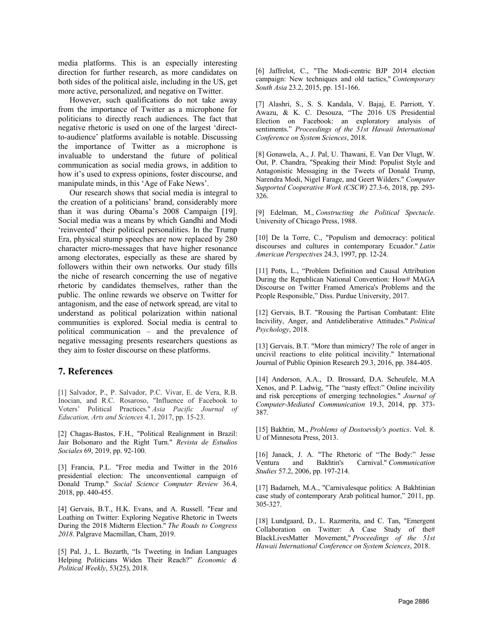media platforms. This is an especially interesting direction for further research, as more candidates on both sides of the political aisle, including in the US, get more active, personalized, and negative on Twitter.

However, such qualifications do not take away from the importance of Twitter as a microphone for politicians to directly reach audiences. The fact that negative rhetoric is used on one of the largest 'directto-audience' platforms available is notable. Discussing the importance of Twitter as a microphone is invaluable to understand the future of political communication as social media grows, in addition to how it's used to express opinions, foster discourse, and manipulate minds, in this 'Age of Fake News'.

Our research shows that social media is integral to the creation of a politicians' brand, considerably more than it was during Obama's 2008 Campaign [19]. Social media was a means by which Gandhi and Modi 'reinvented' their political personalities. In the Trump Era, physical stump speeches are now replaced by 280 character micro-messages that have higher resonance among electorates, especially as these are shared by followers within their own networks. Our study fills the niche of research concerning the use of negative rhetoric by candidates themselves, rather than the public. The online rewards we observe on Twitter for antagonism, and the ease of network spread, are vital to understand as political polarization within national communities is explored. Social media is central to political communication – and the prevalence of negative messaging presents researchers questions as they aim to foster discourse on these platforms.

# **7. References**

[1] Salvador, P., P. Salvador, P.C. Vivar, E. de Vera, R.B. Inocian, and R.C. Rosaroso, "Influence of Facebook to Voters' Political Practices." *Asia Pacific Journal of Education, Arts and Sciences* 4.1, 2017, pp. 15-23.

[2] Chagas-Bastos, F.H., "Political Realignment in Brazil: Jair Bolsonaro and the Right Turn." *Revista de Estudios Sociales* 69, 2019, pp. 92-100.

[3] Francia, P.L. "Free media and Twitter in the 2016 presidential election: The unconventional campaign of Donald Trump." *Social Science Computer Review* 36.4, 2018, pp. 440-455.

[4] Gervais, B.T., H.K. Evans, and A. Russell. "Fear and Loathing on Twitter: Exploring Negative Rhetoric in Tweets During the 2018 Midterm Election." *The Roads to Congress 2018*. Palgrave Macmillan, Cham, 2019.

[5] Pal, J., L. Bozarth, "Is Tweeting in Indian Languages Helping Politicians Widen Their Reach?" *Economic & Political Weekly*, 53(25), 2018.

[6] Jaffrelot, C., "The Modi-centric BJP 2014 election campaign: New techniques and old tactics," *Contemporary South Asia* 23.2, 2015, pp. 151-166.

[7] Alashri, S., S. S. Kandala, V. Bajaj, E. Parriott, Y. Awazu, & K. C. Desouza, "The 2016 US Presidential Election on Facebook: an exploratory analysis of sentiments." *Proceedings of the 51st Hawaii International Conference on System Sciences*, 2018.

[8] Gonawela, A., J. Pal, U. Thawani, E. Van Der Vlugt, W. Out, P. Chandra, "Speaking their Mind: Populist Style and Antagonistic Messaging in the Tweets of Donald Trump, Narendra Modi, Nigel Farage, and Geert Wilders." *Computer Supported Cooperative Work (CSCW)* 27.3-6, 2018, pp. 293- 326.

[9] Edelman, M., *Constructing the Political Spectacle*. University of Chicago Press, 1988.

[10] De la Torre, C., "Populism and democracy: political discourses and cultures in contemporary Ecuador." *Latin American Perspectives* 24.3, 1997, pp. 12-24.

[11] Potts, L., "Problem Definition and Causal Attribution During the Republican National Convention: How# MAGA Discourse on Twitter Framed America's Problems and the People Responsible," Diss. Purdue University, 2017.

[12] Gervais, B.T. "Rousing the Partisan Combatant: Elite Incivility, Anger, and Antideliberative Attitudes." *Political Psychology*, 2018.

[13] Gervais, B.T. "More than mimicry? The role of anger in uncivil reactions to elite political incivility." International Journal of Public Opinion Research 29.3, 2016, pp. 384-405.

[14] Anderson, A.A., D. Brossard, D.A. Scheufele, M.A Xenos, and P. Ladwig, "The "nasty effect:" Online incivility and risk perceptions of emerging technologies." *Journal of Computer-Mediated Communication* 19.3, 2014, pp. 373- 387.

[15] Bakhtin, M., *Problems of Dostoevsky's poetics*. Vol. 8. U of Minnesota Press, 2013.

[16] Janack, J. A. "The Rhetoric of "The Body:" Jesse Ventura and Bakhtin's Carnival." *Communication Studies* 57.2, 2006, pp. 197-214.

[17] Badarneh, M.A., "Carnivalesque politics: A Bakhtinian case study of contemporary Arab political humor," 2011, pp. 305-327.

[18] Lundgaard, D., L. Razmerita, and C. Tan, "Emergent Collaboration on Twitter: A Case Study of the# BlackLivesMatter Movement," *Proceedings of the 51st Hawaii International Conference on System Sciences*, 2018.